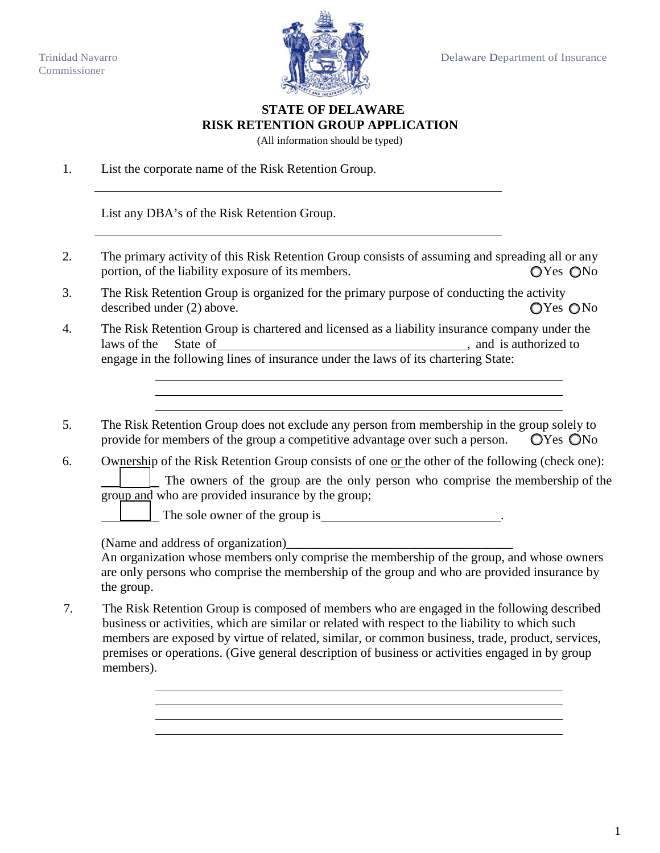

## **STATE OF DELAWARE RISK RETENTION GROUP APPLICATION**

(All information should be typed)

1. List the corporate name of the Risk Retention Group.

List any DBA's of the Risk Retention Group.

- 2. The primary activity of this Risk Retention Group consists of assuming and spreading all or any portion, of the liability exposure of its members.  $QYes \tQNo$
- 3. The Risk Retention Group is organized for the primary purpose of conducting the activity described under (2) above.  $\bigcirc$  Yes  $\bigcirc$  No
- 4. The Risk Retention Group is chartered and licensed as a liability insurance company under the laws of the State of <u>Commission Commission and is authorized</u> to engage in the following lines of insurance under the laws of its chartering State:
- 5. The Risk Retention Group does not exclude any person from membership in the group solely to provide for members of the group a competitive advantage over such a person.  $\Box$   $\Box$   $\Box$   $\Diamond$   $\Diamond$   $\Diamond$   $\Diamond$   $\Diamond$   $\Diamond$
- 6. Ownership of the Risk Retention Group consists of one <u>or</u> the other of the following (check one):

 The owners of the group are the only person who comprise the membership of the group and who are provided insurance by the group;

The sole owner of the group is .

(Name and address of organization)

An organization whose members only comprise the membership of the group, and whose owners are only persons who comprise the membership of the group and who are provided insurance by the group.

7. The Risk Retention Group is composed of members who are engaged in the following described business or activities, which are similar or related with respect to the liability to which such members are exposed by virtue of related, similar, or common business, trade, product, services, premises or operations. (Give general description of business or activities engaged in by group members).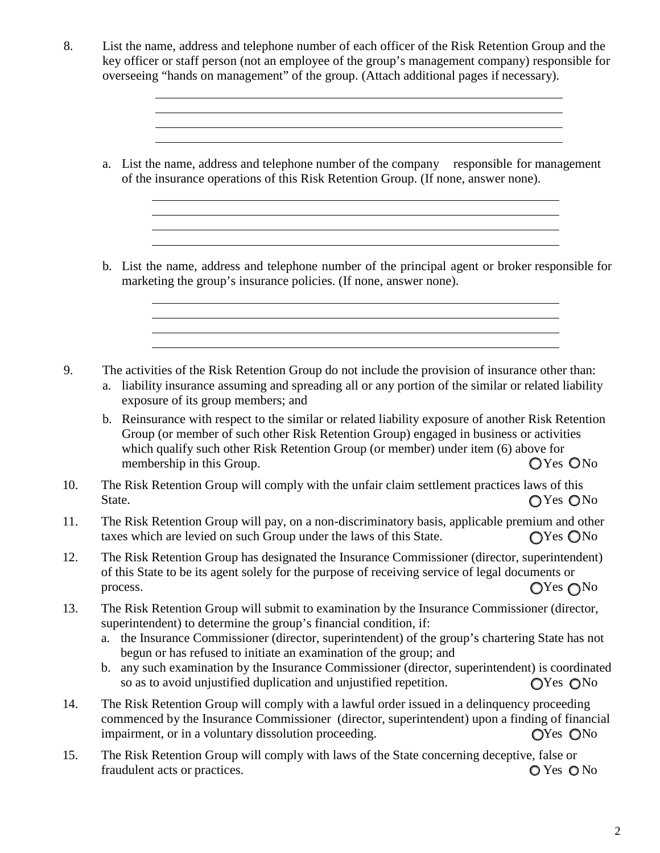- 8. List the name, address and telephone number of each officer of the Risk Retention Group and the key officer or staff person (not an employee of the group's management company) responsible for overseeing "hands on management" of the group. (Attach additional pages if necessary).
	- a. List the name, address and telephone number of the company responsible for management of the insurance operations of this Risk Retention Group. (If none, answer none).
	- b. List the name, address and telephone number of the principal agent or broker responsible for marketing the group's insurance policies. (If none, answer none).

<u> 1989 - Johann Barbara, martxa alemaniar amerikan basar da da a shekara a shekara tsa a shekara tsa a shekara</u>

<u> 1980 - Johann Barn, fransk politik (f. 1980)</u> <u> 1989 - Andrea Station Barbara, actor a component de la componentación de la componentación de la componentaci</u> <u> 1989 - Andrea Station Barbara, actor a component de la componentación de la componentación de la componentaci</u>

- 9. The activities of the Risk Retention Group do not include the provision of insurance other than:
	- a. liability insurance assuming and spreading all or any portion of the similar or related liability exposure of its group members; and
	- b. Reinsurance with respect to the similar or related liability exposure of another Risk Retention Group (or member of such other Risk Retention Group) engaged in business or activities which qualify such other Risk Retention Group (or member) under item (6) above for membership in this Group.  $\bigcirc$  Yes  $\bigcirc$  No
- 10. The Risk Retention Group will comply with the unfair claim settlement practices laws of this State.  $\bigcap$  Yes  $\bigcap$  Yes  $\bigcap$  Yes  $\bigcap$  Yes  $\bigcap$  Yes  $\bigcap$  No
- 11. The Risk Retention Group will pay, on a non-discriminatory basis, applicable premium and other taxes which are levied on such Group under the laws of this State.  $\bigcirc$  Yes  $\bigcirc$  No
- 12. The Risk Retention Group has designated the Insurance Commissioner (director, superintendent) of this State to be its agent solely for the purpose of receiving service of legal documents or process.  $\bigcirc$  Yes  $\bigcirc$  No
- 13. The Risk Retention Group will submit to examination by the Insurance Commissioner (director, superintendent) to determine the group's financial condition, if:
	- a. the Insurance Commissioner (director, superintendent) of the group's chartering State has not begun or has refused to initiate an examination of the group; and
	- b. any such examination by the Insurance Commissioner (director, superintendent) is coordinated so as to avoid unjustified duplication and unjustified repetition.  $\bigcirc$  Yes  $\bigcirc$  No
- 14. The Risk Retention Group will comply with a lawful order issued in a delinquency proceeding commenced by the Insurance Commissioner (director, superintendent) upon a finding of financial impairment, or in a voluntary dissolution proceeding.  $\bigcirc$  Yes  $\bigcirc$  No
- 15. The Risk Retention Group will comply with laws of the State concerning deceptive, false or fraudulent acts or practices.  $\bigcirc$  Yes  $\bigcirc$  No